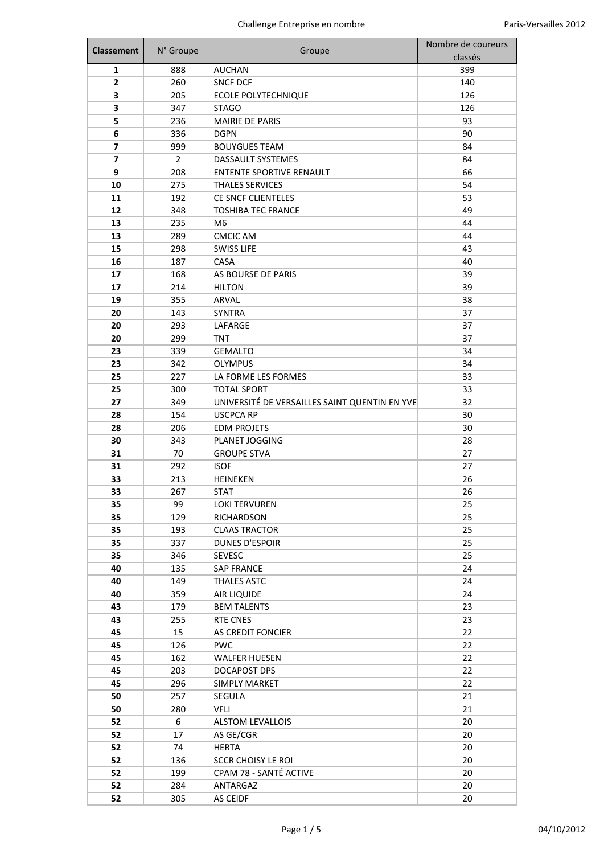| <b>Classement</b> | N° Groupe      | Groupe                                        | Nombre de coureurs |
|-------------------|----------------|-----------------------------------------------|--------------------|
|                   |                |                                               | classés            |
| 1                 | 888            | <b>AUCHAN</b>                                 | 399                |
| 2                 | 260            | <b>SNCF DCF</b>                               | 140                |
| 3                 | 205            | <b>ECOLE POLYTECHNIQUE</b>                    | 126                |
| 3                 | 347            | <b>STAGO</b>                                  | 126                |
| 5                 | 236            | <b>MAIRIE DE PARIS</b>                        | 93                 |
| 6                 | 336            | <b>DGPN</b>                                   | 90                 |
| 7                 | 999            | <b>BOUYGUES TEAM</b>                          | 84                 |
| 7                 | $\overline{2}$ | <b>DASSAULT SYSTEMES</b>                      | 84                 |
| 9                 | 208            | <b>ENTENTE SPORTIVE RENAULT</b>               | 66                 |
| 10                | 275            | <b>THALES SERVICES</b>                        | 54                 |
| 11                | 192            | CE SNCF CLIENTELES                            | 53                 |
| 12                | 348            | <b>TOSHIBA TEC FRANCE</b>                     | 49                 |
| 13                | 235            | M <sub>6</sub>                                | 44                 |
| 13                | 289            | <b>CMCIC AM</b>                               | 44                 |
| 15                | 298            | <b>SWISS LIFE</b>                             | 43                 |
| 16                | 187            | <b>CASA</b>                                   | 40                 |
| 17                | 168            | AS BOURSE DE PARIS                            | 39                 |
| 17                | 214            | <b>HILTON</b>                                 | 39                 |
| 19                | 355            | ARVAL                                         | 38                 |
| 20                | 143            | <b>SYNTRA</b>                                 | 37                 |
| 20                | 293            | LAFARGE                                       | 37                 |
| 20                | 299            | <b>TNT</b>                                    | 37                 |
| 23                | 339            | <b>GEMALTO</b>                                | 34                 |
| 23                | 342            | <b>OLYMPUS</b>                                | 34                 |
| 25                | 227            | LA FORME LES FORMES                           | 33                 |
| 25                | 300            | <b>TOTAL SPORT</b>                            | 33                 |
| 27                | 349            | UNIVERSITÉ DE VERSAILLES SAINT QUENTIN EN YVE | 32                 |
| 28                | 154            | <b>USCPCA RP</b>                              | 30                 |
| 28                | 206            | <b>EDM PROJETS</b>                            | 30                 |
| 30                | 343            | PLANET JOGGING                                | 28                 |
| 31                | 70             | <b>GROUPE STVA</b>                            | 27                 |
| 31                | 292            | <b>ISOF</b>                                   | 27                 |
| 33                | 213            | <b>HEINEKEN</b>                               | 26                 |
| 33                | 267            | <b>STAT</b>                                   | 26                 |
| 35                | 99             | <b>LOKI TERVUREN</b>                          | 25                 |
| 35                | 129            | RICHARDSON                                    | 25                 |
| 35                | 193            | <b>CLAAS TRACTOR</b>                          | 25                 |
| 35                | 337            | <b>DUNES D'ESPOIR</b>                         | 25                 |
| 35                | 346            | <b>SEVESC</b>                                 | 25                 |
| 40                | 135            | <b>SAP FRANCE</b>                             | 24                 |
| 40                | 149            | <b>THALES ASTC</b>                            | 24                 |
| 40                | 359            | AIR LIQUIDE                                   | 24                 |
| 43                | 179            | <b>BEM TALENTS</b>                            | 23                 |
| 43                | 255            | <b>RTE CNES</b>                               | 23                 |
| 45                | 15             | AS CREDIT FONCIER                             | 22                 |
| 45                | 126            | <b>PWC</b>                                    | 22                 |
| 45                | 162            | <b>WALFER HUESEN</b>                          | 22                 |
| 45                | 203            | DOCAPOST DPS                                  | 22                 |
| 45                | 296            | <b>SIMPLY MARKET</b>                          | 22                 |
| 50                | 257            | SEGULA                                        | 21                 |
| 50                | 280            | <b>VFLI</b>                                   | 21                 |
| 52                | 6              | <b>ALSTOM LEVALLOIS</b>                       | 20                 |
| 52                | 17             | AS GE/CGR                                     | 20                 |
| 52                | 74             | <b>HERTA</b>                                  | 20                 |
| 52                | 136            | <b>SCCR CHOISY LE ROI</b>                     | 20                 |
| 52                | 199            | CPAM 78 - SANTÉ ACTIVE                        | 20                 |
| 52                | 284            | ANTARGAZ                                      | 20                 |
| 52                | 305            | AS CEIDF                                      | 20                 |
|                   |                |                                               |                    |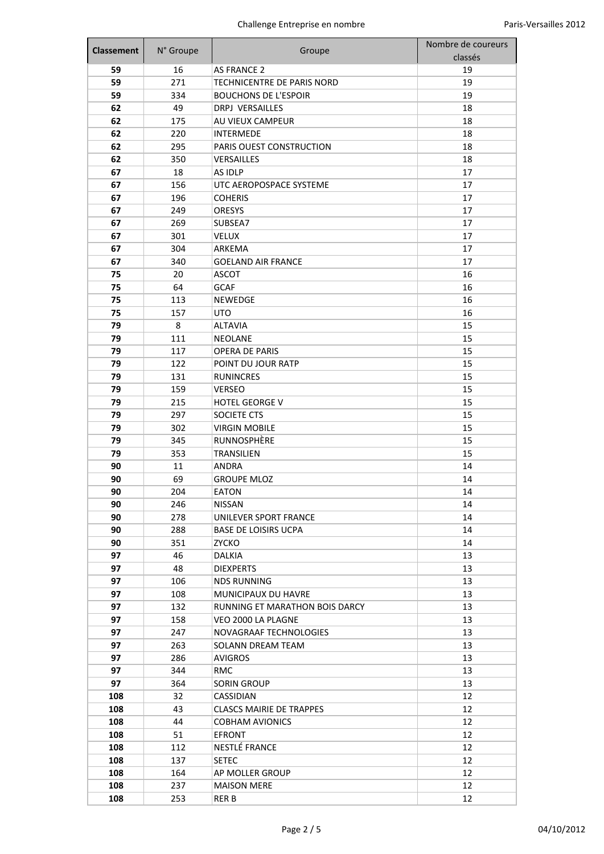| <b>Classement</b> | N° Groupe | Groupe                          | Nombre de coureurs |
|-------------------|-----------|---------------------------------|--------------------|
|                   |           |                                 | classés            |
| 59                | 16        | <b>AS FRANCE 2</b>              | 19                 |
| 59                | 271       | TECHNICENTRE DE PARIS NORD      | 19                 |
| 59                | 334       | <b>BOUCHONS DE L'ESPOIR</b>     | 19                 |
| 62                | 49        | DRPJ VERSAILLES                 | 18                 |
| 62                | 175       | AU VIEUX CAMPEUR                | 18                 |
| 62                | 220       | <b>INTERMEDE</b>                | 18                 |
| 62                | 295       | PARIS OUEST CONSTRUCTION        | 18                 |
| 62                | 350       | <b>VERSAILLES</b>               | 18                 |
| 67                | 18        | AS IDLP                         | 17                 |
| 67                | 156       | UTC AEROPOSPACE SYSTEME         | 17                 |
| 67                | 196       | <b>COHERIS</b>                  | 17                 |
| 67                | 249       | <b>ORESYS</b>                   | 17                 |
| 67                | 269       | SUBSEA7                         | 17                 |
| 67                | 301       | <b>VELUX</b>                    | 17                 |
| 67                | 304       | ARKEMA                          | 17                 |
| 67                | 340       | <b>GOELAND AIR FRANCE</b>       | 17                 |
| 75                | 20        | <b>ASCOT</b>                    | 16                 |
| 75                | 64        | <b>GCAF</b>                     | 16                 |
| 75                | 113       | <b>NEWEDGE</b>                  | 16                 |
| 75                | 157       | UTO                             | 16                 |
| 79                | 8         | <b>ALTAVIA</b>                  | 15                 |
| 79                | 111       | NEOLANE                         | 15                 |
| 79                | 117       | <b>OPERA DE PARIS</b>           | 15                 |
| 79                | 122       | POINT DU JOUR RATP              | 15                 |
| 79                | 131       | <b>RUNINCRES</b>                | 15                 |
| 79                | 159       | <b>VERSEO</b>                   | 15                 |
| 79                | 215       | HOTEL GEORGE V                  | 15                 |
| 79                | 297       | SOCIETE CTS                     | 15                 |
| 79                | 302       | <b>VIRGIN MOBILE</b>            | 15                 |
| 79                | 345       | RUNNOSPHÈRE                     | 15                 |
| 79                | 353       | <b>TRANSILIEN</b>               | 15                 |
| 90                | 11        | ANDRA                           | 14                 |
| 90                | 69        | <b>GROUPE MLOZ</b>              | 14                 |
| 90                | 204       | <b>EATON</b>                    | 14                 |
| 90                | 246       | NISSAN                          | 14                 |
| 90                | 278       | UNILEVER SPORT FRANCE           | 14                 |
| 90                | 288       | <b>BASE DE LOISIRS UCPA</b>     | 14                 |
| 90                | 351       | ZYCKO                           | 14                 |
| 97                | 46        | DALKIA                          | 13                 |
| 97                | 48        | <b>DIEXPERTS</b>                | 13                 |
| 97                | 106       | <b>NDS RUNNING</b>              | 13                 |
| 97                | 108       | MUNICIPAUX DU HAVRE             | 13                 |
| 97                | 132       | RUNNING ET MARATHON BOIS DARCY  | 13                 |
| 97                | 158       | VEO 2000 LA PLAGNE              | 13                 |
| 97                | 247       | NOVAGRAAF TECHNOLOGIES          | 13                 |
| 97                | 263       | SOLANN DREAM TEAM               | 13                 |
| 97                | 286       | <b>AVIGROS</b>                  | 13                 |
| 97                | 344       | <b>RMC</b>                      | 13                 |
| 97                | 364       | SORIN GROUP                     | 13                 |
| 108               | 32        | CASSIDIAN                       | 12                 |
| 108               | 43        | <b>CLASCS MAIRIE DE TRAPPES</b> | 12                 |
| 108               | 44        | <b>COBHAM AVIONICS</b>          | 12                 |
| 108               | 51        | EFRONT                          | 12                 |
| 108               | 112       | NESTLÉ FRANCE                   | 12                 |
| 108               | 137       | <b>SETEC</b>                    | 12                 |
| 108               | 164       | AP MOLLER GROUP                 | 12                 |
| 108               | 237       | <b>MAISON MERE</b>              | 12                 |
| 108               | 253       | RER B                           | 12                 |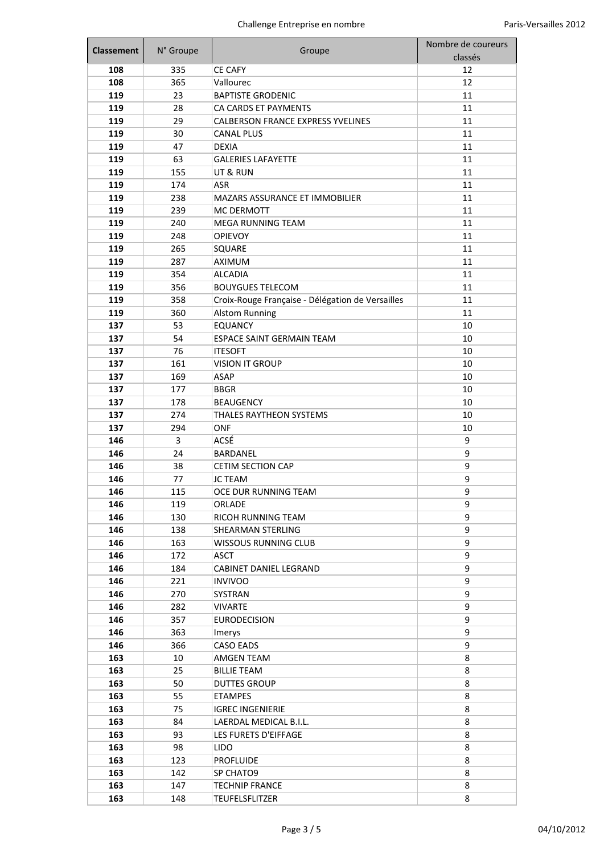| <b>Classement</b> | N° Groupe | Groupe                                           | Nombre de coureurs<br>classés |
|-------------------|-----------|--------------------------------------------------|-------------------------------|
| 108               | 335       | <b>CE CAFY</b>                                   | 12                            |
| 108               | 365       | Vallourec                                        | 12                            |
| 119               | 23        | <b>BAPTISTE GRODENIC</b>                         | 11                            |
| 119               | 28        | CA CARDS ET PAYMENTS                             | 11                            |
| 119               | 29        | <b>CALBERSON FRANCE EXPRESS YVELINES</b>         | 11                            |
| 119               | 30        | <b>CANAL PLUS</b>                                | 11                            |
| 119               | 47        | <b>DEXIA</b>                                     | 11                            |
| 119               | 63        | <b>GALERIES LAFAYETTE</b>                        | 11                            |
| 119               | 155       | UT & RUN                                         | 11                            |
| 119               | 174       | ASR                                              | 11                            |
| 119               | 238       | MAZARS ASSURANCE ET IMMOBILIER                   | 11                            |
| 119               | 239       | MC DERMOTT                                       | 11                            |
| 119               | 240       | MEGA RUNNING TEAM                                | 11                            |
| 119               | 248       | <b>OPIEVOY</b>                                   | 11                            |
| 119               | 265       | SQUARE                                           | 11                            |
| 119               | 287       | <b>AXIMUM</b>                                    | 11                            |
| 119               | 354       | <b>ALCADIA</b>                                   | 11                            |
| 119               | 356       | <b>BOUYGUES TELECOM</b>                          | 11                            |
| 119               | 358       | Croix-Rouge Française - Délégation de Versailles | 11                            |
| 119               | 360       | <b>Alstom Running</b>                            | 11                            |
| 137               | 53        | <b>EQUANCY</b>                                   | 10                            |
| 137               | 54        | ESPACE SAINT GERMAIN TEAM                        | 10                            |
| 137               | 76        | <b>ITESOFT</b>                                   | 10                            |
| 137               | 161       | <b>VISION IT GROUP</b>                           | 10                            |
| 137               | 169       | ASAP                                             | 10                            |
| 137               | 177       | <b>BBGR</b>                                      | 10                            |
| 137               | 178       | <b>BEAUGENCY</b>                                 | 10                            |
| 137               | 274       | THALES RAYTHEON SYSTEMS                          | 10                            |
| 137               | 294       | <b>ONF</b>                                       | 10                            |
| 146               | 3         | ACSÉ                                             | 9                             |
| 146               | 24        | BARDANEL                                         | 9                             |
| 146               | 38        | <b>CETIM SECTION CAP</b>                         | 9                             |
| 146               | 77        | <b>JC TEAM</b>                                   | 9                             |
| 146               | 115       | OCE DUR RUNNING TEAM                             | 9                             |
| 146               | 119       | ORLADE                                           | 9                             |
| 146               | 130       | RICOH RUNNING TEAM                               | 9                             |
| 146               | 138       | SHEARMAN STERLING                                | 9                             |
| 146               | 163       | <b>WISSOUS RUNNING CLUB</b>                      | 9                             |
| 146               | 172       | <b>ASCT</b>                                      | 9                             |
| 146               | 184       | CABINET DANIEL LEGRAND                           | 9                             |
| 146               | 221       | <b>INVIVOO</b>                                   | 9                             |
| 146               | 270       | SYSTRAN                                          | 9                             |
| 146               | 282       | <b>VIVARTE</b>                                   | 9                             |
| 146               | 357       | <b>EURODECISION</b>                              | 9                             |
| 146               | 363       | Imerys                                           | 9                             |
| 146               | 366       | <b>CASO EADS</b>                                 | 9                             |
| 163               | 10        | AMGEN TEAM                                       | 8                             |
| 163               | 25        | <b>BILLIE TEAM</b>                               | 8                             |
| 163               | 50        | <b>DUTTES GROUP</b>                              | 8                             |
| 163               | 55        | <b>ETAMPES</b>                                   | 8                             |
| 163               | 75        | <b>IGREC INGENIERIE</b>                          | 8                             |
| 163               | 84        | LAERDAL MEDICAL B.I.L.                           | 8                             |
| 163               | 93        | LES FURETS D'EIFFAGE                             | 8                             |
|                   |           |                                                  |                               |
| 163               | 98        | <b>LIDO</b>                                      | 8                             |
| 163               | 123       | <b>PROFLUIDE</b>                                 | 8<br>8                        |
| 163               | 142       | SP CHATO9                                        |                               |
| 163               | 147       | <b>TECHNIP FRANCE</b>                            | 8                             |
| 163               | 148       | <b>TEUFELSFLITZER</b>                            | 8                             |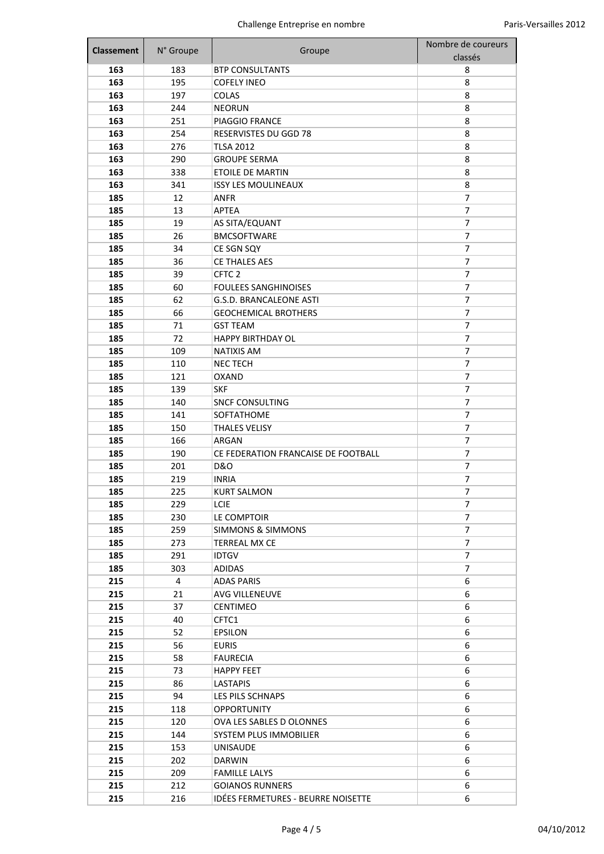| <b>Classement</b> | N° Groupe | Groupe                              | Nombre de coureurs |
|-------------------|-----------|-------------------------------------|--------------------|
|                   |           |                                     | classés            |
| 163               | 183       | <b>BTP CONSULTANTS</b>              | 8                  |
| 163               | 195       | <b>COFELY INEO</b>                  | 8                  |
| 163               | 197       | <b>COLAS</b>                        | 8                  |
| 163               | 244       | <b>NEORUN</b>                       | 8                  |
| 163               | 251       | PIAGGIO FRANCE                      | 8                  |
| 163               | 254       | RESERVISTES DU GGD 78               | 8                  |
| 163               | 276       | <b>TLSA 2012</b>                    | 8                  |
| 163               | 290       | <b>GROUPE SERMA</b>                 | 8                  |
| 163               | 338       | <b>ETOILE DE MARTIN</b>             | 8                  |
| 163               | 341       | <b>ISSY LES MOULINEAUX</b>          | 8                  |
| 185               | 12        | ANFR                                | 7                  |
| 185               | 13        | APTEA                               | 7                  |
| 185               | 19        | AS SITA/EQUANT                      | 7                  |
| 185               | 26        | <b>BMCSOFTWARE</b>                  | $\overline{7}$     |
| 185               | 34        | CE SGN SQY                          | 7                  |
| 185               | 36        | <b>CE THALES AES</b>                | 7                  |
| 185               | 39        | CFTC <sub>2</sub>                   | $\overline{7}$     |
| 185               | 60        | <b>FOULEES SANGHINOISES</b>         | 7                  |
| 185               | 62        | G.S.D. BRANCALEONE ASTI             | 7                  |
| 185               | 66        | <b>GEOCHEMICAL BROTHERS</b>         | 7                  |
| 185               | 71        | <b>GST TEAM</b>                     | 7                  |
| 185               | 72        | <b>HAPPY BIRTHDAY OL</b>            | 7                  |
| 185               | 109       | <b>NATIXIS AM</b>                   | 7                  |
| 185               | 110       | <b>NECTECH</b>                      | $\overline{7}$     |
| 185               | 121       | <b>OXAND</b>                        | 7                  |
| 185               | 139       | <b>SKF</b>                          | 7                  |
| 185               | 140       | <b>SNCF CONSULTING</b>              | 7                  |
| 185               | 141       | SOFTATHOME                          | 7                  |
| 185               | 150       | <b>THALES VELISY</b>                | $\overline{7}$     |
| 185               | 166       | ARGAN                               | 7                  |
| 185               | 190       | CE FEDERATION FRANCAISE DE FOOTBALL | 7                  |
| 185               | 201       | <b>D&amp;O</b>                      | 7                  |
| 185               | 219       | <b>INRIA</b>                        | 7                  |
| 185               | 225       | <b>KURT SALMON</b>                  | 7                  |
| 185               | 229       | LCIE                                | 7                  |
| 185               | 230       | LE COMPTOIR                         | 7                  |
| 185               | 259       | <b>SIMMONS &amp; SIMMONS</b>        | 7                  |
| 185               | 273       | <b>TERREAL MX CE</b>                | 7                  |
| 185               | 291       | <b>IDTGV</b>                        | 7                  |
| 185               | 303       | <b>ADIDAS</b>                       | 7                  |
| 215               | 4         | <b>ADAS PARIS</b>                   | 6                  |
| 215               | 21        | <b>AVG VILLENEUVE</b>               | 6                  |
| 215               | 37        | <b>CENTIMEO</b>                     | 6                  |
| 215               | 40        | CFTC1                               | 6                  |
| 215               | 52        | <b>EPSILON</b>                      | 6                  |
| 215               | 56        | <b>EURIS</b>                        | 6                  |
| 215               | 58        | <b>FAURECIA</b>                     | 6                  |
| 215               | 73        | <b>HAPPY FEET</b>                   | 6                  |
| 215               | 86        | <b>LASTAPIS</b>                     | 6                  |
| 215               | 94        | LES PILS SCHNAPS                    | 6                  |
| 215               | 118       | <b>OPPORTUNITY</b>                  | 6                  |
| 215               | 120       | OVA LES SABLES D OLONNES            | 6                  |
| 215               | 144       | SYSTEM PLUS IMMOBILIER              | 6                  |
| 215               | 153       | UNISAUDE                            | 6                  |
| 215               | 202       | <b>DARWIN</b>                       | 6                  |
| 215               | 209       | <b>FAMILLE LALYS</b>                | 6                  |
| 215               | 212       | <b>GOIANOS RUNNERS</b>              | 6                  |
| 215               | 216       | IDÉES FERMETURES - BEURRE NOISETTE  | 6                  |